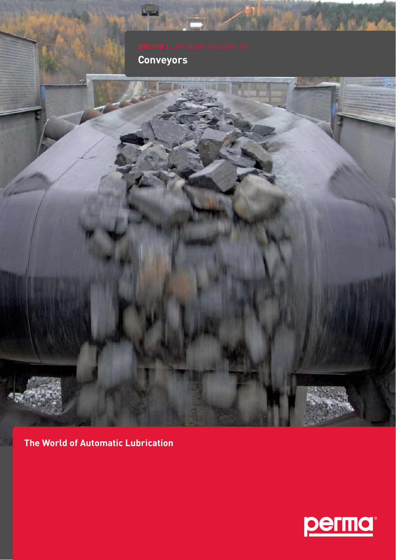Conveyors



The World of Automatic Lubrication



1414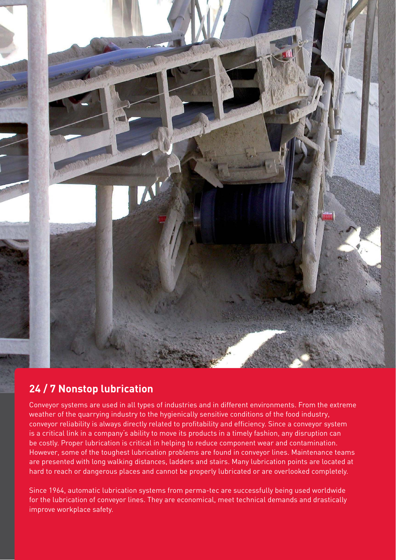

### **24 / 7 Nonstop lubrication**

Conveyor systems are used in all types of industries and in different environments. From the extreme weather of the quarrying industry to the hygienically sensitive conditions of the food industry, conveyor reliability is always directly related to profitability and efficiency. Since a conveyor system is a critical link in a company's ability to move its products in a timely fashion, any disruption can be costly. Proper lubrication is critical in helping to reduce component wear and contamination. However, some of the toughest lubrication problems are found in conveyor lines. Maintenance teams are presented with long walking distances, ladders and stairs. Many lubrication points are located at hard to reach or dangerous places and cannot be properly lubricated or are overlooked completely.

Since 1964, automatic lubrication systems from perma-tec are successfully being used worldwide for the lubrication of conveyor lines. They are economical, meet technical demands and drastically improve workplace safety.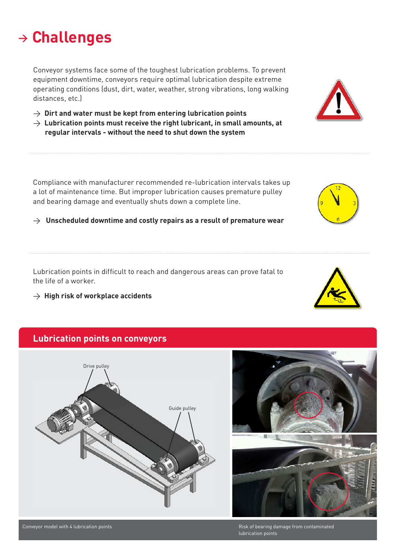### **<sup>&</sup>gt; Challenges**

Conveyor systems face some of the toughest lubrication problems. To prevent equipment downtime, conveyors require optimal lubrication despite extreme operating conditions (dust, dirt, water, weather, strong vibrations, long walking distances, etc.)

- $\rightarrow$  Dirt and water must be kept from entering lubrication points
- $\rightarrow$  Lubrication points must receive the right lubricant, in small amounts, at  **regular intervals - without the need to shut down the system**

Compliance with manufacturer recommended re-lubrication intervals takes up a lot of maintenance time. But improper lubrication causes premature pulley and bearing damage and eventually shuts down a complete line.

> **Unscheduled downtime and costly repairs as a result of premature wear**

Lubrication points in difficult to reach and dangerous areas can prove fatal to the life of a worker.

> **High risk of workplace accidents**

#### **Lubrication points on conveyors**







Risk of bearing damage from contaminated lubrication points



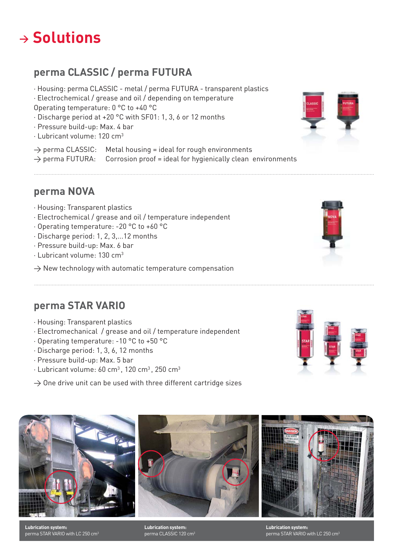# **<sup>&</sup>gt; Solutions**

### **perma CLASSIC / perma FUTURA**

∧ Housing: perma CLASSIC - metal / perma FUTURA - transparent plastics

∧ Electrochemical / grease and oil / depending on temperature

Operating temperature: 0 °C to +40 °C

- ∧ Discharge period at +20 °C with SF01: 1, 3, 6 or 12 months
- ∧ Pressure build-up: Max. 4 bar
- ∧ Lubricant volume: 120 cm3
- $\rightarrow$  perma CLASSIC: Metal housing = ideal for rough environments

 $\rightarrow$  perma FUTURA: Corrosion proof = ideal for hygienically clean environments

**perma NOVA**

- ∧ Housing: Transparent plastics
- ∧ Electrochemical / grease and oil / temperature independent
- ∧ Operating temperature: -20 °C to +60 °C
- ∧ Discharge period: 1, 2, 3,...12 months
- ∧ Pressure build-up: Max. 6 bar
- ∧ Lubricant volume: 130 cm3
- $\rightarrow$  New technology with automatic temperature compensation

### **perma STAR VARIO**

- ∧ Housing: Transparent plastics
- ∧ Electromechanical / grease and oil / temperature independent
- ∧ Operating temperature: -10 °C to +50 °C
- ∧ Discharge period: 1, 3, 6, 12 months
- ∧ Pressure build-up: Max. 5 bar
- ∧ Lubricant volume: 60 cm3 , 120 cm3 , 250 cm3
- $\rightarrow$  One drive unit can be used with three different cartridge sizes



**Lubrication system:**  perma STAR VARIO with LC 250 cm3

**Lubrication system:**  perma CLASSIC 120 cm3

**Lubrication system:**  perma STAR VARIO with LC 250 cm3





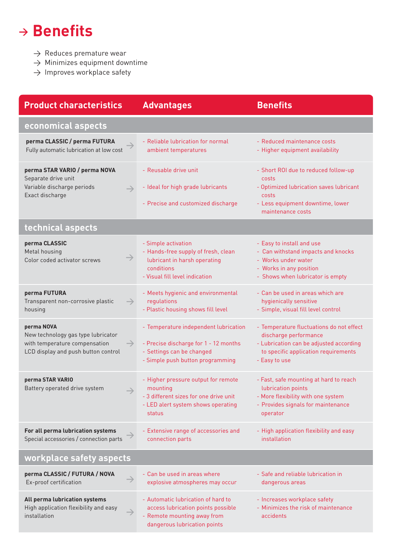# $\rightarrow$ **Benefits**

- $\rightarrow$  Reduces premature wear
- $\rightarrow$  Minimizes equipment downtime
- $\rightarrow$  Improves workplace safety

| <b>Product characteristics</b>                                                                                                            | <b>Advantages</b>                                                                                                                               | <b>Benefits</b>                                                                                                                                                       |
|-------------------------------------------------------------------------------------------------------------------------------------------|-------------------------------------------------------------------------------------------------------------------------------------------------|-----------------------------------------------------------------------------------------------------------------------------------------------------------------------|
| economical aspects                                                                                                                        |                                                                                                                                                 |                                                                                                                                                                       |
| perma CLASSIC / perma FUTURA<br>Fully automatic lubrication at low cost                                                                   | - Reliable lubrication for normal<br>ambient temperatures                                                                                       | - Reduced maintenance costs<br>- Higher equipment availability                                                                                                        |
| perma STAR VARIO / perma NOVA<br>Separate drive unit<br>Variable discharge periods<br>$\rightarrow$<br>Exact discharge                    | - Reusable drive unit<br>- Ideal for high grade lubricants<br>- Precise and customized discharge                                                | - Short ROI due to reduced follow-up<br>costs<br>- Optimized lubrication saves lubricant<br>costs<br>- Less equipment downtime, lower<br>maintenance costs            |
| technical aspects                                                                                                                         |                                                                                                                                                 |                                                                                                                                                                       |
| perma CLASSIC<br>Metal housing<br>Color coded activator screws                                                                            | - Simple activation<br>- Hands-free supply of fresh, clean<br>lubricant in harsh operating<br>conditions<br>- Visual fill level indication      | - Easy to install and use<br>- Can withstand impacts and knocks<br>- Works under water<br>- Works in any position<br>- Shows when lubricator is empty                 |
| perma FUTURA<br>Transparent non-corrosive plastic<br>$\rightarrow$<br>housing                                                             | - Meets hygienic and environmental<br>regulations<br>- Plastic housing shows fill level                                                         | - Can be used in areas which are<br>hygienically sensitive<br>- Simple, visual fill level control                                                                     |
| perma NOVA<br>New technology gas type lubricator<br>with temperature compensation<br>$\rightarrow$<br>LCD display and push button control | - Temperature independent lubrication<br>- Precise discharge for 1 - 12 months<br>- Settings can be changed<br>- Simple push button programming | - Temperature fluctuations do not effect<br>discharge performance<br>- Lubrication can be adjusted according<br>to specific application requirements<br>- Easy to use |
| perma STAR VARIO<br>Battery operated drive system                                                                                         | - Higher pressure output for remote<br>mounting<br>- 3 different sizes for one drive unit<br>- LED alert system shows operating<br>status       | - Fast, safe mounting at hard to reach<br>lubrication points<br>- More flexibility with one system<br>- Provides signals for maintenance<br>operator                  |
| For all perma lubrication systems<br>Special accessories / connection parts                                                               | - Extensive range of accessories and<br>connection parts                                                                                        | - High application flexibility and easy<br>installation                                                                                                               |
| workplace safety aspects                                                                                                                  |                                                                                                                                                 |                                                                                                                                                                       |
| perma CLASSIC / FUTURA / NOVA<br>Ex-proof certification                                                                                   | - Can be used in areas where<br>explosive atmospheres may occur                                                                                 | - Safe and reliable lubrication in<br>dangerous areas                                                                                                                 |
| All perma lubrication systems<br>High application flexibility and easy<br>installation                                                    | - Automatic lubrication of hard to<br>access lubrication points possible<br>- Remote mounting away from<br>dangerous lubrication points         | - Increases workplace safety<br>- Minimizes the risk of maintenance<br>accidents                                                                                      |